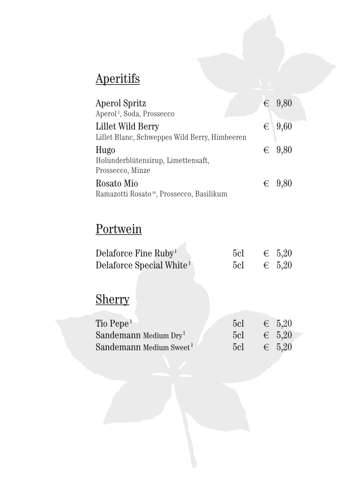# **Aperitifs**

| <b>Aperol Spritz</b><br>Aperol <sup>1</sup> , Soda, Prossecco | $\in$ 9,80        |
|---------------------------------------------------------------|-------------------|
| Lillet Wild Berry                                             | $\epsilon$   9,60 |
| Lillet Blanc, Schweppes Wild Berry, Himbeeren                 |                   |
| Hugo                                                          | $\epsilon$ 9,80   |
| Holunderblütensirup, Limettensaft,                            |                   |
| Prossecco, Minze                                              |                   |
| Rosato Mio                                                    | $\epsilon$ 9.80   |
| Ramazotti Rosato <sup>m</sup> , Prossecco, Basilikum          |                   |

# **Portwein**

| Delaforce Fine Ruby <sup>1</sup>     | 5c <sub>l</sub> | $\epsilon$ 5,20 |
|--------------------------------------|-----------------|-----------------|
| Delaforce Special White <sup>1</sup> | 5c <sub>l</sub> | $\epsilon$ 5,20 |

# Sherry

| Tio Pepe <sup>1</sup>               | 5c1             | $\epsilon$ 5,20 |
|-------------------------------------|-----------------|-----------------|
| Sandemann Medium $\text{Dry}^1$     | 5c <sub>l</sub> | $\epsilon$ 5,20 |
| Sandemann Medium Sweet <sup>1</sup> | 5c1             | $\epsilon$ 5.20 |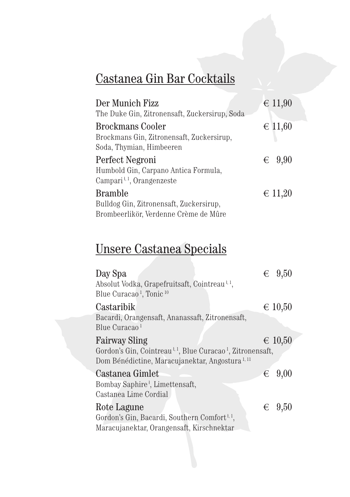## Castanea Gin Bar Cocktails

| Der Munich Fizz                                     | $\in$ 11,90     |
|-----------------------------------------------------|-----------------|
| The Duke Gin, Zitronensaft, Zuckersirup, Soda       |                 |
| <b>Brockmans Cooler</b>                             | $\in$ 11,60     |
| Brockmans Gin, Zitronensaft, Zuckersirup,           |                 |
| Soda, Thymian, Himbeeren                            |                 |
| Perfect Negroni                                     | $\epsilon$ 9,90 |
| Humbold Gin, Carpano Antica Formula,                |                 |
| Campari <sup><math>1, 1</math></sup> , Orangenzeste |                 |
| <b>Bramble</b>                                      | $\in$ 11,20     |
| Bulldog Gin, Zitronensaft, Zuckersirup,             |                 |
| Brombeerlikör, Verdenne Crème de Mûre               |                 |

## Unsere Castanea Specials

| Day Spa<br>Absolut Vodka, Grapefruitsaft, Cointreau <sup>1,1</sup> ,               | € | 9,50            |
|------------------------------------------------------------------------------------|---|-----------------|
| Blue Curacao <sup>1</sup> , Tonic <sup>10</sup>                                    |   |                 |
| Castaribik                                                                         |   | $\in 10,50$     |
| Bacardi, Orangensaft, Ananassaft, Zitronensaft,                                    |   |                 |
| Blue Curacao <sup>1</sup>                                                          |   |                 |
| <b>Fairway Sling</b>                                                               |   | $\in 10,50$     |
| Gordon's Gin, Cointreau <sup>1,1</sup> , Blue Curacao <sup>1</sup> , Zitronensaft, |   |                 |
| Dom Bénédictine, Maracujanektar, Angostura <sup>1,11</sup>                         |   |                 |
| Castanea Gimlet                                                                    | € | 9,00            |
| Bombay Saphire <sup>1</sup> , Limettensaft,                                        |   |                 |
| Castanea Lime Cordial                                                              |   |                 |
| Rote Lagune                                                                        |   | $\epsilon$ 9,50 |
| Gordon's Gin, Bacardi, Southern Comfort <sup>1,1</sup> ,                           |   |                 |
| Maracujanektar, Orangensaft, Kirschnektar                                          |   |                 |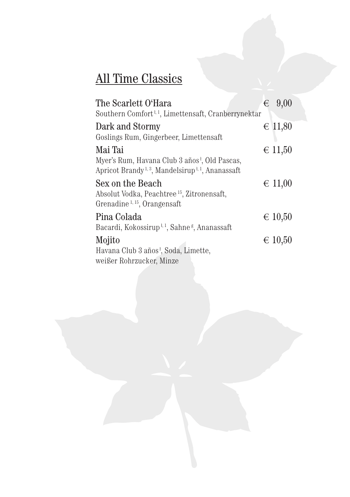# All Time Classics

| The Scarlett O'Hara<br>Southern Comfort <sup>1,1</sup> , Limettensaft, Cranberrynektar                                                 | €                | 9,00 |
|----------------------------------------------------------------------------------------------------------------------------------------|------------------|------|
| Dark and Stormy                                                                                                                        | $∈$ 11,80        |      |
| Goslings Rum, Gingerbeer, Limettensaft                                                                                                 |                  |      |
| Mai Tai                                                                                                                                | $\in$ 11,50      |      |
| Myer's Rum, Havana Club 3 años <sup>†</sup> , Old Pascas,<br>Apricot Brandy <sup>1, 3</sup> , Mandelsirup <sup>1, 1</sup> , Ananassaft |                  |      |
| Sex on the Beach                                                                                                                       | $\epsilon$ 11,00 |      |
| Absolut Vodka, Peachtree <sup>15</sup> , Zitronensaft,<br>Grenadine <sup>1, 15</sup> , Orangensaft                                     |                  |      |
| Pina Colada                                                                                                                            | $\in 10,50$      |      |
| Bacardi, Kokossirup <sup>}, 1</sup> , Sahne <sup>g</sup> , Ananassaft                                                                  |                  |      |
| Mojito                                                                                                                                 | $\in$ 10,50      |      |
| Havana Club 3 años <sup>†</sup> , Soda, Limette,                                                                                       |                  |      |
| weißer Rohrzucker, Minze                                                                                                               |                  |      |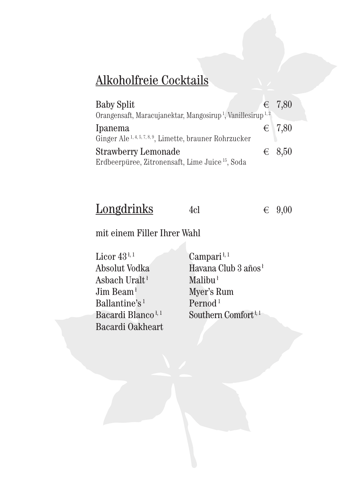#### Alkoholfreie Cocktails

| <b>Baby Split</b>                                                                  | $\in$ 7,80      |
|------------------------------------------------------------------------------------|-----------------|
| Orangensaft, Maracujanektar, Mangosirup <sup>1</sup> , Vanillesirup <sup>1,2</sup> |                 |
| Ipanema                                                                            | $\in$ 7,80      |
| Ginger Ale <sup>1, 4, 5, 7, 8, 9</sup> , Limette, brauner Rohrzucker               |                 |
| <b>Strawberry Lemonade</b>                                                         | $\epsilon$ 8,50 |
| Erdbeerpüree, Zitronensaft, Lime Juice <sup>15</sup> , Soda                        |                 |

| Longdrinks | 4cl | $\epsilon$ 9,00 |
|------------|-----|-----------------|
|------------|-----|-----------------|

#### mit einem Filler Ihrer Wahl

Licor 43<sup>+, 1</sup> Campari<sup>+, 1</sup><br>Absolut Vodka Havana Clu Asbach Uralt<sup> $\frac{1}{2}$ </sup> Ballantine's<sup>1</sup> Pernod<sup>1</sup><br>Bacardi Blanco<sup>1,1</sup> Southern Bacardi Oakheart

Havana Club 3 años<sup>{</sup><br>Malibu<sup>}</sup> Myer's Rum Southern Comfort<sup> $1, 1$ </sup>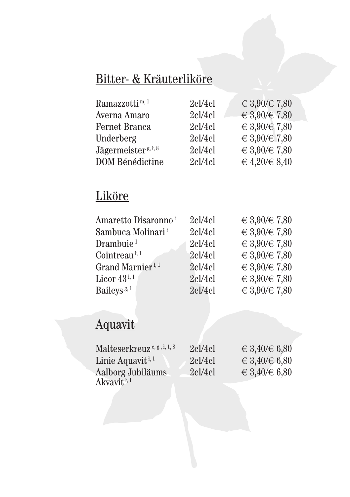## Bitter- & Kräuterliköre

| Ramazzotti <sup>m, 1</sup>      | 2c1/4c1 | € 3,90/€ 7,80 |
|---------------------------------|---------|---------------|
| Averna Amaro                    | 2c1/4c1 | € 3,90/€ 7,80 |
| Fernet Branca                   | 2c1/4c1 | € 3,90/€ 7,80 |
| Underberg                       | 2c1/4c1 | € 3,90/€ 7,80 |
| Jägermeister <sup>g, ł, 8</sup> | 2c1/4c1 | € 3,90/€ 7,80 |
| DOM Bénédictine                 | 2c1/4c1 | € 4,20/€ 8,40 |

## Liköre

| Amaretto Disaronno <sup>1</sup>       | 2c1/4c1 | € 3,90/€ 7,80 |
|---------------------------------------|---------|---------------|
| Sambuca Molinari <sup>1</sup>         | 2c1/4c1 | € 3,90/€ 7,80 |
| Drambuie <sup>1</sup>                 | 2c1/4c1 | € 3,90/€ 7,80 |
| Cointreau <sup><math>1,1</math></sup> | 2c1/4c1 | € 3,90/€ 7,80 |
| Grand Marnier <sup>1, 1</sup>         | 2c1/4c1 | € 3,90/€ 7,80 |
| Licor $43^{4,1}$                      | 2c1/4c1 | € 3,90/€ 7,80 |
| Baileys <sup>g, 1</sup>               | 2c1/4c1 | € 3,90/€ 7,80 |

# Aquavit

| Malteserkreuz <sup>c, g, l, 1, 8</sup>               | 2c1/4c1 | ∈ 3,40/€ 6,80 |
|------------------------------------------------------|---------|---------------|
| Linie Aquavit <sup><math>\frac{1}{3}</math>, 1</sup> | 2c1/4c1 | ∈ 3,40/€ 6,80 |
| Aalborg Jubiläums                                    | 2c1/4c1 | € 3,40/€ 6,80 |
| Akvavit <sup>i, 1</sup>                              |         |               |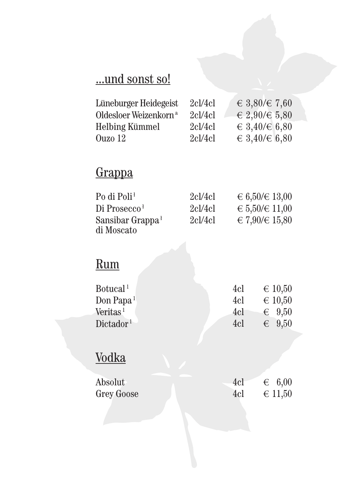## ...und sonst so!

| Lüneburger Heidegeist             | 2c1/4c1 | € 3,80/€ 7,60       |
|-----------------------------------|---------|---------------------|
| Oldesloer Weizenkorn <sup>a</sup> | 2c1/4c1 | $\in 2,90/\in 5,80$ |
| <b>Helbing Kümmel</b>             | 2c1/4c1 | € 3,40/€ 6,80       |
| Ouzo 12                           | 2c1/4c1 | € 3,40/€ 6,80       |

## **Grappa**

| Po di Poli <sup>1</sup>      | 2c1/4c1 | $\in 6,50 \times 13,00$ |
|------------------------------|---------|-------------------------|
| Di Prosecco <sup>1</sup>     | 2cl/4cl | $\in 5,50 \times 11,00$ |
| Sansibar Grappa <sup>1</sup> | 2c1/4c1 | € 7,90/€ 15,80          |
| di Moscato                   |         |                         |

# Rum

| Botucal <sup>1</sup>              | 4cl | $\in$ 10,50     |
|-----------------------------------|-----|-----------------|
| Don Papa <sup>1</sup>             | 4cl | $\in$ 10,50     |
| Veritas <sup><math>1</math></sup> | 4cl | $\epsilon$ 9.50 |
| Dictador <sup>1</sup>             | 4cl | $\epsilon$ 9.50 |

# **Vodka**

| Absolut           | 4cl | $\epsilon$ 6,00 |
|-------------------|-----|-----------------|
| <b>Grey Goose</b> | 4cl | $\in$ 11,50     |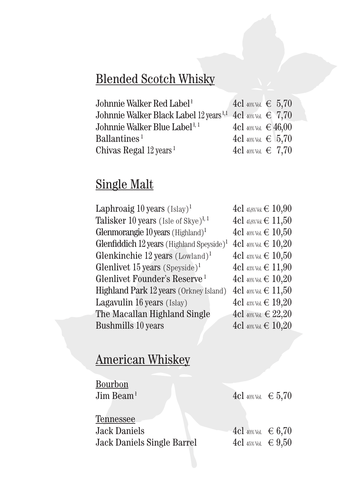## Blended Scotch Whisky

| Johnnie Walker Red Label <sup>1</sup>                                | $4c1$ 40% Vol. € 5,70    |
|----------------------------------------------------------------------|--------------------------|
| Johnnie Walker Black Label 12 years $^{1,1}$ 4cl 40% Vol. $\in$ 7,70 |                          |
| Johnnie Walker Blue Label <u>k, 1</u>                                | $4c1$ 40% Vol. € $46,00$ |
| Ballantines <sup>1</sup>                                             | $4c1$ 40% Vol. € 5,70    |
| Chivas Regal $12 \text{ years}$ <sup>1</sup>                         | $4c1$ 40% Vol. € 7,70    |

## Single Malt

| Laphroaig 10 years $(Islay)^1$                                       | $4c1$ 45,8% Vol. € $10,90$   |
|----------------------------------------------------------------------|------------------------------|
| <b>Talisker 10 years</b> (Isle of Skye) <sup><math>1, 1</math></sup> | $4c1$ 45,8% Vol. € $11,50$   |
| Glenmorangie $10$ years (Highland) <sup>1</sup>                      | $4c1$ 40% Vol. € $10,50$     |
| Glenfiddich $12$ years (Highland Speyside) <sup>1</sup>              | $4c1$ 40% Vol. € $10,20$     |
| Glenkinchie 12 years $(Lowland)^1$                                   | $4c1$ 43% Vol. € $10,50$     |
| Glenlivet 15 years (Speyside) <sup>1</sup>                           | $4c1$ 43% Vol. € $11,90$     |
| Glenlivet Founder's Reserve <sup>1</sup>                             | $4c1$ 40% Vol. € $10,20$     |
| Highland Park 12 years (Orkney Island)                               | $4c1$ 40% Vol. € $11,50$     |
| Lagavulin 16 years (Islay)                                           | $4c1$ 43% Vol. $\in$ $19,20$ |
| The Macallan Highland Single                                         | $4c1$ 40% Vol. € $22,20$     |
| <b>Bushmills 10 years</b>                                            | $4c1$ 40% Vol. € $10,20$     |

# American Whiskey

| Bourbon                           |                       |  |
|-----------------------------------|-----------------------|--|
| Jim Beam $1$                      | 4cl 40% Vol. $∈ 5,70$ |  |
|                                   |                       |  |
| Tennessee                         |                       |  |
| <b>Jack Daniels</b>               | $4c1$ 40% Vol. € 6,70 |  |
| <b>Jack Daniels Single Barrel</b> | $4c1$ 45% Vol. € 9,50 |  |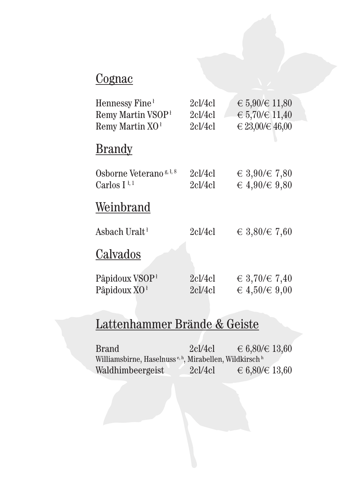## **Cognac**

| Hennessy Fine <sup>1</sup><br>Remy Martin VSOP <sup>1</sup><br>Remy Martin $XO1$ | 2cl/4cl<br>2cl/4cl<br>2c1/4c1 | ∈ 5,90/€ 11,80<br>$\in 5,70 \times 11,40$<br>€ 23,00/€ 46,00 |
|----------------------------------------------------------------------------------|-------------------------------|--------------------------------------------------------------|
| <b>Brandy</b>                                                                    |                               |                                                              |
| Osborne Veterano <sup>g, t, 8</sup><br>Carlos I <sup><math>1,1</math></sup>      | 2cl/4cl<br>2cl/4cl            | € 3,90/€ 7,80<br>€ 4,90/€ 9,80                               |
| Weinbrand                                                                        |                               |                                                              |
| Asbach Uralt <sup>1</sup>                                                        | 2cl/4cl                       | € 3,80/€ 7,60                                                |
| Calvados                                                                         |                               |                                                              |
| Pâpidoux VSOP <sup>1</sup><br>Pâpidoux XO <sup>1</sup>                           | 2cl/4cl<br>2c1/4c1            | € 3,70/€ 7,40<br>€ 4,50/€ 9,00                               |

# Lattenhammer Brände & Geiste

| <b>Brand</b>                                                                   | 2c1/4c1 | € 6,80/€ 13,60 |
|--------------------------------------------------------------------------------|---------|----------------|
| Williamsbirne, Haselnuss <sup>e, h</sup> , Mirabellen, Wildkirsch <sup>h</sup> |         |                |
| Waldhimbeergeist                                                               | 2c1/4c1 | € 6,80/€ 13,60 |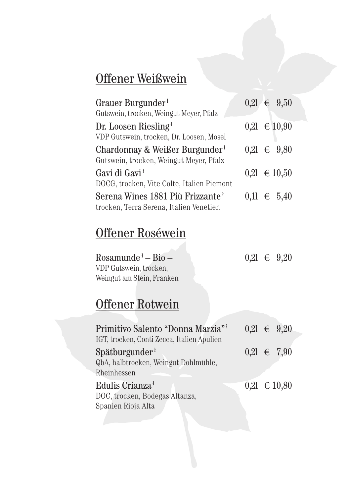## Offener Weißwein

| Grauer Burgunder <sup>1</sup><br>Gutswein, trocken, Weingut Meyer, Pfalz                | $0,21 \in 9,50$  |
|-----------------------------------------------------------------------------------------|------------------|
| Dr. Loosen Riesling <sup>1</sup><br>VDP Gutswein, trocken, Dr. Loosen, Mosel            | $0,21 \in 10,90$ |
| Chardonnay & Weißer Burgunder <sup>1</sup><br>Gutswein, trocken, Weingut Meyer, Pfalz   | $0,21 \in 9,80$  |
| Gavi di Gavi <sup>1</sup><br>DOCG, trocken, Vite Colte, Italien Piemont                 | $0,21 \in 10,50$ |
| Serena Wines 1881 Più Frizzante <sup>1</sup><br>trocken, Terra Serena, Italien Venetien | $0,11 \in 5,40$  |

## Offener Roséwein

| Rosamunde <sup>i</sup> — Bio — |  | $0,21 \in 9,20$ |
|--------------------------------|--|-----------------|
| VDP Gutswein, trocken,         |  |                 |
| Weingut am Stein, Franken      |  |                 |

## Offener Rotwein

| Primitivo Salento "Donna Marzia" <sup>1</sup><br>IGT, trocken, Conti Zecca, Italien Apulien |  | $0,21 \in 9,20$  |
|---------------------------------------------------------------------------------------------|--|------------------|
| Spätburgunder <sup>1</sup><br>QbA, halbtrocken, Weingut Dohlmühle,                          |  | $0,21 \in 7,90$  |
| Rheinhessen                                                                                 |  |                  |
| Edulis Crianza <sup>1</sup><br>DOC, trocken, Bodegas Altanza,<br>Spanien Rioja Alta         |  | $0,21 \in 10,80$ |
|                                                                                             |  |                  |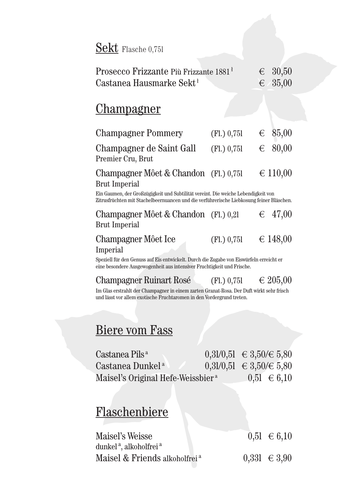#### Sekt Flasche 0,751

| Prosecco Frizzante Più Frizzante 1881 <sup>1</sup> | $\epsilon$ 30,50 |
|----------------------------------------------------|------------------|
| Castanea Hausmarke Sekt <sup>+</sup>               | $\epsilon$ 35,00 |

#### Champagner

| <b>Champagner Pommery</b>                                     | (Fl.) 0,751 | $\epsilon$ 85,00 |
|---------------------------------------------------------------|-------------|------------------|
| Champagner de Saint Gall<br>Premier Cru, Brut                 | (Fl.) 0,751 | $\epsilon$ 80,00 |
| Champagner Môet & Chandon (Fl.) 0.751<br><b>Brut Imperial</b> |             | ∈ 110,00         |

Ein Gaumen, der Großzügigkeit und Subtilität vereint. Die weiche Lebendigkeit von Zitrusfrüchten mit Stachelbeernuancen und die verführerische Liebkosung feiner Bläschen.

Champagner Môet & Chandon (Fl.) 0,2l  $\epsilon$  47,00 Brut Imperial

#### Champagner Môet Ice  $(F1, 0.751 \in 148,00$ Imperial

Speziell für den Genuss auf Eis entwickelt. Durch die Zugabe von Eiswürfeln erreicht er eine besondere Ausgewogenheit aus intensiver Fruchtigkeit und Frische.

Champagner Ruinart Rosé (Fl.) 0,75l  $\epsilon$  205,00

Im Glas erstrahlt der Champagner in einem zarten Granat-Rosa. Der Duft wirkt sehr frisch und lässt vor allem exotische Fruchtaromen in den Vordergrund treten.

#### Biere vom Fass

| Castanea Pils <sup>a</sup>                    | $0,31/0,51 \in 3,50 \in 5,80$ |                 |
|-----------------------------------------------|-------------------------------|-----------------|
| Castanea Dunkel <sup>a</sup>                  | $0,31/0,51 \in 3,50 \in 5,80$ |                 |
| Maisel's Original Hefe-Weissbier <sup>a</sup> |                               | $0,51 \in 6,10$ |

#### Flaschenbiere

| Maisel's Weisse                                | $0,51 \in 6,10$  |
|------------------------------------------------|------------------|
| dunkel <sup>a</sup> , alkoholfrei <sup>a</sup> |                  |
| Maisel & Friends alkoholfrei <sup>a</sup>      | $0,331 \in 3,90$ |